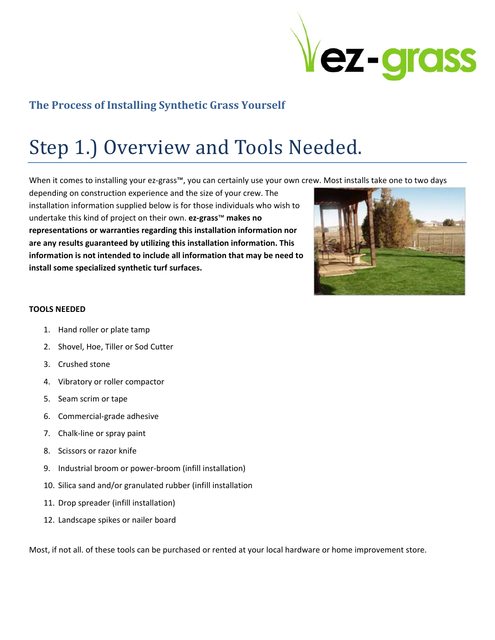

### **The Process of Installing Synthetic Grass Yourself**

## Step 1.) Overview and Tools Needed.

When it comes to installing your ez‐grass™, you can certainly use your own crew. Most installs take one to two days

depending on construction experience and the size of your crew. The installation information supplied below is for those individuals who wish to undertake this kind of project on their own. **ez‐grass**™ **makes no representations or warranties regarding this installation information nor are any results guaranteed by utilizing this installation information. This information is not intended to include all information that may be need to install some specialized synthetic turf surfaces.**



#### **TOOLS NEEDED**

- 1. Hand roller or plate tamp
- 2. Shovel, Hoe, Tiller or Sod Cutter
- 3. Crushed stone
- 4. Vibratory or roller compactor
- 5. Seam scrim or tape
- 6. Commercial‐grade adhesive
- 7. Chalk‐line or spray paint
- 8. Scissors or razor knife
- 9. Industrial broom or power‐broom (infill installation)
- 10. Silica sand and/or granulated rubber (infill installation
- 11. Drop spreader (infill installation)
- 12. Landscape spikes or nailer board

Most, if not all. of these tools can be purchased or rented at your local hardware or home improvement store.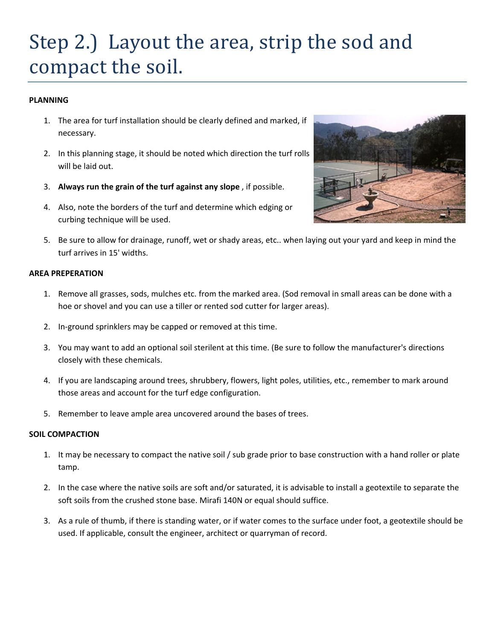### Step 2.) Layout the area, strip the sod and compact the soil.

#### **PLANNING**

- 1. The area for turf installation should be clearly defined and marked, if necessary.
- 2. In this planning stage, it should be noted which direction the turf rolls will be laid out.
- 3. **Always run the grain of the turf against any slope** , if possible.
- 4. Also, note the borders of the turf and determine which edging or curbing technique will be used.



5. Be sure to allow for drainage, runoff, wet or shady areas, etc.. when laying out your yard and keep in mind the turf arrives in 15' widths.

#### **AREA PREPERATION**

- 1. Remove all grasses, sods, mulches etc. from the marked area. (Sod removal in small areas can be done with a hoe or shovel and you can use a tiller or rented sod cutter for larger areas).
- 2. In‐ground sprinklers may be capped or removed at this time.
- 3. You may want to add an optional soil sterilent at this time. (Be sure to follow the manufacturer's directions closely with these chemicals.
- 4. If you are landscaping around trees, shrubbery, flowers, light poles, utilities, etc., remember to mark around those areas and account for the turf edge configuration.
- 5. Remember to leave ample area uncovered around the bases of trees.

#### **SOIL COMPACTION**

- 1. It may be necessary to compact the native soil / sub grade prior to base construction with a hand roller or plate tamp.
- 2. In the case where the native soils are soft and/or saturated, it is advisable to install a geotextile to separate the soft soils from the crushed stone base. Mirafi 140N or equal should suffice.
- 3. As a rule of thumb, if there is standing water, or if water comes to the surface under foot, a geotextile should be used. If applicable, consult the engineer, architect or quarryman of record.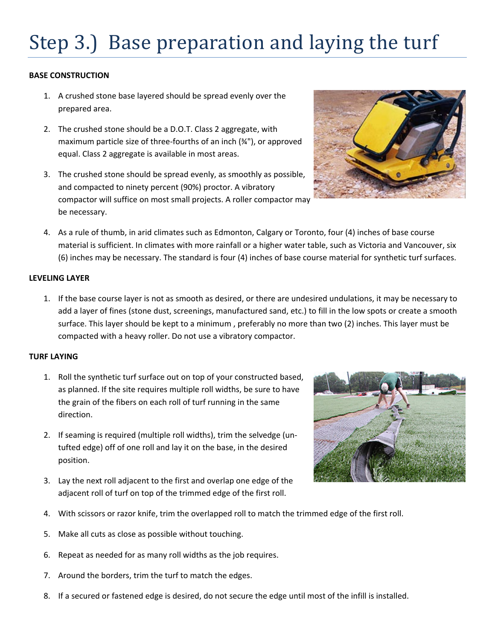# Step 3.) Base preparation and laying the turf

#### **BASE CONSTRUCTION**

- 1. A crushed stone base layered should be spread evenly over the prepared area.
- 2. The crushed stone should be a D.O.T. Class 2 aggregate, with maximum particle size of three‐fourths of an inch (¾"), or approved equal. Class 2 aggregate is available in most areas.
- 3. The crushed stone should be spread evenly, as smoothly as possible, and compacted to ninety percent (90%) proctor. A vibratory compactor will suffice on most small projects. A roller compactor may be necessary.



4. As a rule of thumb, in arid climates such as Edmonton, Calgary or Toronto, four (4) inches of base course material is sufficient. In climates with more rainfall or a higher water table, such as Victoria and Vancouver, six (6) inches may be necessary. The standard is four (4) inches of base course material for synthetic turf surfaces.

#### **LEVELING LAYER**

1. If the base course layer is not as smooth as desired, or there are undesired undulations, it may be necessary to add a layer of fines (stone dust, screenings, manufactured sand, etc.) to fill in the low spots or create a smooth surface. This layer should be kept to a minimum , preferably no more than two (2) inches. This layer must be compacted with a heavy roller. Do not use a vibratory compactor.

#### **TURF LAYING**

- 1. Roll the synthetic turf surface out on top of your constructed based, as planned. If the site requires multiple roll widths, be sure to have the grain of the fibers on each roll of turf running in the same direction.
- 2. If seaming is required (multiple roll widths), trim the selvedge (un‐ tufted edge) off of one roll and lay it on the base, in the desired position.
- 3. Lay the next roll adjacent to the first and overlap one edge of the adjacent roll of turf on top of the trimmed edge of the first roll.



- 4. With scissors or razor knife, trim the overlapped roll to match the trimmed edge of the first roll.
- 5. Make all cuts as close as possible without touching.
- 6. Repeat as needed for as many roll widths as the job requires.
- 7. Around the borders, trim the turf to match the edges.
- 8. If a secured or fastened edge is desired, do not secure the edge until most of the infill is installed.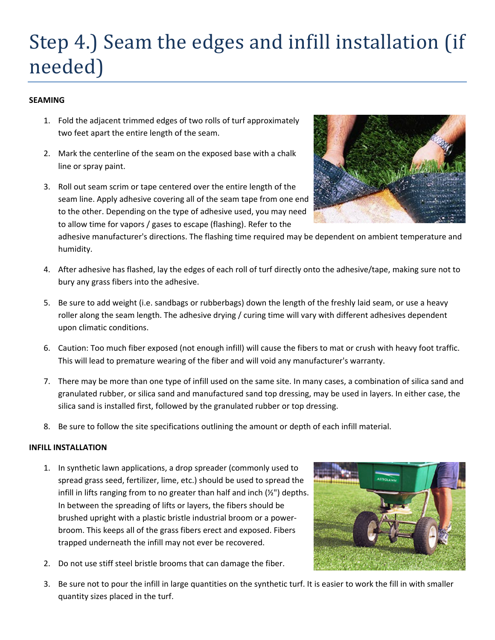## Step 4.) Seam the edges and infill installation (if needed)

#### **SEAMING**

- 1. Fold the adjacent trimmed edges of two rolls of turf approximately two feet apart the entire length of the seam.
- 2. Mark the centerline of the seam on the exposed base with a chalk line or spray paint.
- 3. Roll out seam scrim or tape centered over the entire length of the seam line. Apply adhesive covering all of the seam tape from one end to the other. Depending on the type of adhesive used, you may need to allow time for vapors / gases to escape (flashing). Refer to the

adhesive manufacturer's directions. The flashing time required may be dependent on ambient temperature and

- 4. After adhesive has flashed, lay the edges of each roll of turf directly onto the adhesive/tape, making sure not to bury any grass fibers into the adhesive.
- 5. Be sure to add weight (i.e. sandbags or rubberbags) down the length of the freshly laid seam, or use a heavy roller along the seam length. The adhesive drying / curing time will vary with different adhesives dependent upon climatic conditions.
- 6. Caution: Too much fiber exposed (not enough infill) will cause the fibers to mat or crush with heavy foot traffic. This will lead to premature wearing of the fiber and will void any manufacturer's warranty.
- 7. There may be more than one type of infill used on the same site. In many cases, a combination of silica sand and granulated rubber, or silica sand and manufactured sand top dressing, may be used in layers. In either case, the silica sand is installed first, followed by the granulated rubber or top dressing.
- 8. Be sure to follow the site specifications outlining the amount or depth of each infill material.

#### **INFILL INSTALLATION**

humidity.

- 1. In synthetic lawn applications, a drop spreader (commonly used to spread grass seed, fertilizer, lime, etc.) should be used to spread the infill in lifts ranging from to no greater than half and inch (½") depths. In between the spreading of lifts or layers, the fibers should be brushed upright with a plastic bristle industrial broom or a power‐ broom. This keeps all of the grass fibers erect and exposed. Fibers trapped underneath the infill may not ever be recovered.
- 2. Do not use stiff steel bristle brooms that can damage the fiber.
- 3. Be sure not to pour the infill in large quantities on the synthetic turf. It is easier to work the fill in with smaller quantity sizes placed in the turf.



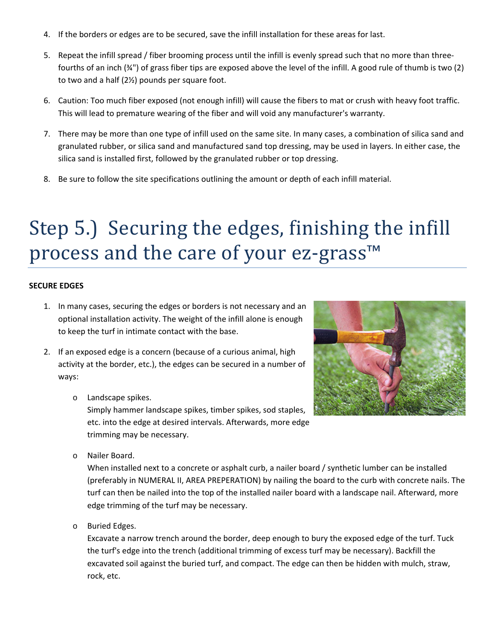- 4. If the borders or edges are to be secured, save the infill installation for these areas for last.
- 5. Repeat the infill spread / fiber brooming process until the infill is evenly spread such that no more than threefourths of an inch (¾") of grass fiber tips are exposed above the level of the infill. A good rule of thumb is two (2) to two and a half (2½) pounds per square foot.
- 6. Caution: Too much fiber exposed (not enough infill) will cause the fibers to mat or crush with heavy foot traffic. This will lead to premature wearing of the fiber and will void any manufacturer's warranty.
- 7. There may be more than one type of infill used on the same site. In many cases, a combination of silica sand and granulated rubber, or silica sand and manufactured sand top dressing, may be used in layers. In either case, the silica sand is installed first, followed by the granulated rubber or top dressing.
- 8. Be sure to follow the site specifications outlining the amount or depth of each infill material.

### Step 5.) Securing the edges, finishing the infill process and the care of your ez-grass<sup>™</sup>

#### **SECURE EDGES**

- 1. In many cases, securing the edges or borders is not necessary and an optional installation activity. The weight of the infill alone is enough to keep the turf in intimate contact with the base.
- 2. If an exposed edge is a concern (because of a curious animal, high activity at the border, etc.), the edges can be secured in a number of ways:
	- o Landscape spikes.

Simply hammer landscape spikes, timber spikes, sod staples, etc. into the edge at desired intervals. Afterwards, more edge trimming may be necessary.



o Nailer Board.

When installed next to a concrete or asphalt curb, a nailer board / synthetic lumber can be installed (preferably in NUMERAL II, AREA PREPERATION) by nailing the board to the curb with concrete nails. The turf can then be nailed into the top of the installed nailer board with a landscape nail. Afterward, more edge trimming of the turf may be necessary.

o Buried Edges.

Excavate a narrow trench around the border, deep enough to bury the exposed edge of the turf. Tuck the turf's edge into the trench (additional trimming of excess turf may be necessary). Backfill the excavated soil against the buried turf, and compact. The edge can then be hidden with mulch, straw, rock, etc.